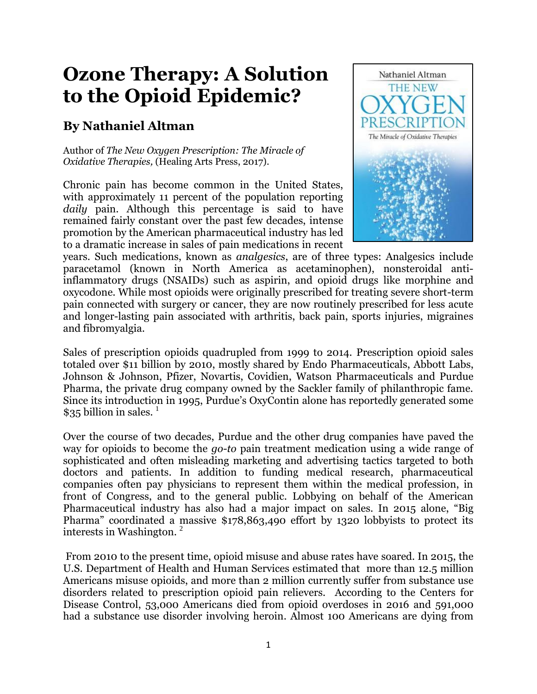# **Ozone Therapy: A Solution to the Opioid Epidemic?**

# **By Nathaniel Altman**

Author of *The New Oxygen Prescription: The Miracle of Oxidative Therapies,* (Healing Arts Press, 2017).

Chronic pain has become common in the United States, with approximately 11 percent of the population reporting *daily* pain. Although this percentage is said to have remained fairly constant over the past few decades, intense promotion by the American pharmaceutical industry has led to a dramatic increase in sales of pain medications in recent



years. Such medications, known as *analgesics*, are of three types: Analgesics include [paracetamol](https://en.wikipedia.org/wiki/Paracetamol) (known in North America as [acetaminophen\)](https://en.wikipedia.org/wiki/Acetaminophen), [nonsteroidal anti](https://en.wikipedia.org/wiki/Nonsteroidal_anti-inflammatory_drug)[inflammatory drugs](https://en.wikipedia.org/wiki/Nonsteroidal_anti-inflammatory_drug) (NSAIDs) such as aspirin, and [opioid](https://en.wikipedia.org/wiki/Opioid) drugs like [morphine](https://en.wikipedia.org/wiki/Morphine) and [oxycodone.](https://en.wikipedia.org/wiki/Oxycodone) While most opioids were originally prescribed for treating severe short-term pain connected with surgery or cancer, they are now routinely prescribed for less acute and longer-lasting pain associated with arthritis, back pain, sports injuries, migraines and fibromyalgia.

Sales of prescription opioids quadrupled from 1999 to 2014. Prescription opioid sales totaled over \$11 billion by 2010, mostly shared by Endo Pharmaceuticals, Abbott Labs, Johnson & Johnson, Pfizer, Novartis, Covidien, Watson Pharmaceuticals and Purdue Pharma, the private drug company owned by the Sackler family of philanthropic fame. Since its introduction in 1995, Purdue's OxyContin alone has reportedly generated some \$35 billion in sales.  $\frac{1}{1}$ 

Over the course of two decades, Purdue and the other drug companies have paved the way for opioids to become the *go-to* pain treatment medication using a wide range of sophisticated and often misleading marketing and advertising tactics targeted to both doctors and patients. In addition to funding medical research, pharmaceutical companies often pay physicians to represent them within the medical profession, in front of Congress, and to the general public. Lobbying on behalf of the American Pharmaceutical industry has also had a major impact on sales. In 2015 alone, "Big Pharma" coordinated a massive \$178,863,490 effort by 1320 lobbyists to protect its interests in Washington. <sup>2</sup>

From 2010 to the present time, opioid misuse and abuse rates have soared. In 2015, the U.S. Department of Health and Human Services estimated that more than 12.5 million Americans misuse opioids, and more than 2 million currently suffer from substance use disorders related to prescription opioid pain relievers. According to the Centers for Disease Control, 53,000 Americans died from opioid overdoses in 2016 and 591,000 had a substance use disorder involving heroin. Almost 100 Americans are dying from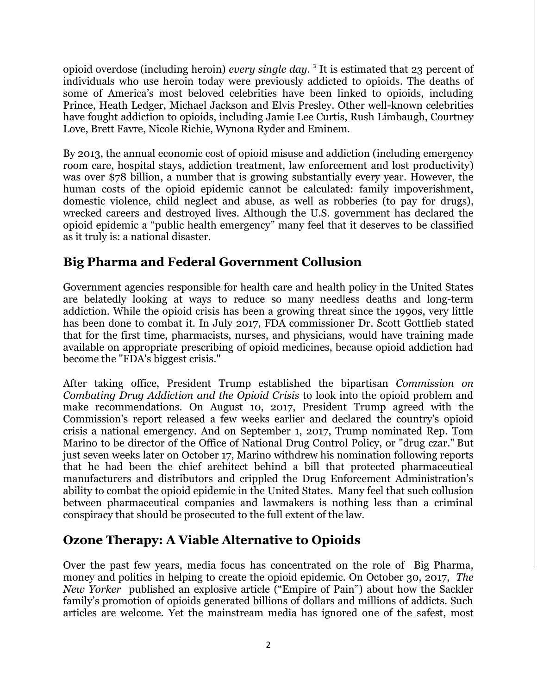opioid overdose (including heroin) *every single day*. 3 It is estimated that 23 percent of individuals who use heroin today were previously addicted to opioids. The deaths of some of America's most beloved celebrities have been linked to opioids, including Prince, Heath Ledger, Michael Jackson and Elvis Presley. Other well-known celebrities have fought addiction to opioids, including Jamie Lee Curtis, Rush Limbaugh, Courtney Love, Brett Favre, Nicole Richie, Wynona Ryder and Eminem.

By 2013, the annual economic cost of opioid misuse and addiction (including emergency room care, hospital stays, addiction treatment, law enforcement and lost productivity) was over \$78 billion, a number that is growing substantially every year. However, the human costs of the opioid epidemic cannot be calculated: family impoverishment, domestic violence, child neglect and abuse, as well as robberies (to pay for drugs), wrecked careers and destroyed lives. Although the U.S. government has declared the opioid epidemic a "public health emergency" many feel that it deserves to be classified as it truly is: a national disaster.

# **Big Pharma and Federal Government Collusion**

Government agencies responsible for health care and health policy in the United States are belatedly looking at ways to reduce so many needless deaths and long-term addiction. While the opioid crisis has been a growing threat since the 1990s, very little has been done to combat it. In July 2017, FDA commissioner Dr. [Scott Gottlieb](https://en.wikipedia.org/wiki/Scott_Gottlieb) stated that for the first time, pharmacists, nurses, and physicians, would have training made available on appropriate prescribing of opioid medicines, because opioid addiction had become the "FDA's biggest crisis."

After taking office, President Trump established the bipartisan *Commission on Combating Drug Addiction and the Opioid Crisis* to look into the opioid problem and make recommendations. On August 10, 2017, President Trump agreed with the Commission's report released a few weeks earlier and declared the country's opioid crisis a national emergency. And on September 1, 2017, Trump nominated Rep. [Tom](https://en.wikipedia.org/wiki/Tom_Marino)  [Marino](https://en.wikipedia.org/wiki/Tom_Marino) to be director of the [Office of National Drug Control Policy,](https://en.wikipedia.org/wiki/Office_of_National_Drug_Control_Policy) or "drug czar." But just seven weeks later on October 17, Marino withdrew his nomination following reports that he had been the chief architect behind a bill that protected pharmaceutical manufacturers and distributors and crippled the Drug Enforcement Administration's ability to combat the [opioid epidemic](https://en.wikipedia.org/wiki/Opioid_epidemic) in the United States. Many feel that such collusion between pharmaceutical companies and lawmakers is nothing less than a criminal conspiracy that should be prosecuted to the full extent of the law.

# **Ozone Therapy: A Viable Alternative to Opioids**

Over the past few years, media focus has concentrated on the role of Big Pharma, money and politics in helping to create the opioid epidemic. On October 30, 2017, *The New Yorker* published an explosive article ("Empire of Pain") about how the Sackler family's promotion of opioids generated billions of dollars and millions of addicts. Such articles are welcome. Yet the mainstream media has ignored one of the safest, most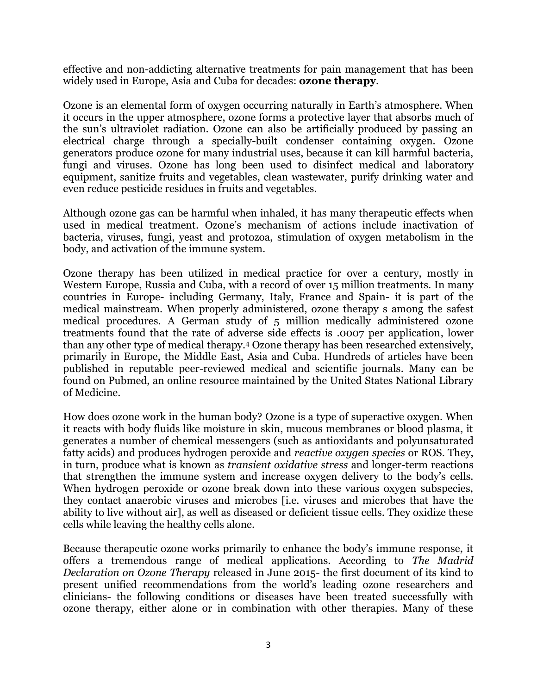effective and non-addicting alternative treatments for pain management that has been widely used in Europe, Asia and Cuba for decades: **ozone therapy**.

Ozone is an elemental form of oxygen occurring naturally in Earth's atmosphere. When it occurs in the upper atmosphere, ozone forms a protective layer that absorbs much of the sun's ultraviolet radiation. Ozone can also be artificially produced by passing an electrical charge through a specially-built condenser containing oxygen. Ozone generators produce ozone for many industrial uses, because it can kill harmful bacteria, fungi and viruses. Ozone has long been used to disinfect medical and laboratory equipment, sanitize fruits and vegetables, clean wastewater, purify drinking water and even reduce pesticide residues in fruits and vegetables.

Although ozone gas can be harmful when inhaled, it has many therapeutic effects when used in medical treatment. Ozone's mechanism of actions include inactivation of bacteria, viruses, fungi, yeast and protozoa, stimulation of oxygen metabolism in the body, and activation of the immune system.

Ozone therapy has been utilized in medical practice for over a century, mostly in Western Europe, Russia and Cuba, with a record of over 15 million treatments. In many countries in Europe- including Germany, Italy, France and Spain- it is part of the medical mainstream. When properly administered, ozone therapy s among the safest medical procedures. A German study of 5 million medically administered ozone treatments found that the rate of adverse side effects is .0007 per application, lower than any other type of medical therapy. <sup>4</sup> [Ozone therapy](https://www.austinozone.com) has been researched extensively, primarily in Europe, the Middle East, Asia and Cuba. Hundreds of articles have been published in reputable peer-reviewed medical and scientific journals. Many can be found on Pubmed, an online resource maintained by the United States National Library of Medicine.

How does ozone work in the human body? Ozone is a type of superactive oxygen. When it reacts with body fluids like moisture in skin, mucous membranes or blood plasma, it generates a number of chemical messengers (such as antioxidants and polyunsaturated fatty acids) and produces hydrogen peroxide and *reactive oxygen species* or ROS. They, in turn, produce what is known as *transient oxidative stress* and longer-term reactions that strengthen the immune system and increase oxygen delivery to the body's cells. When hydrogen peroxide or ozone break down into these various oxygen subspecies, they contact anaerobic viruses and microbes [i.e. viruses and microbes that have the ability to live without air], as well as diseased or deficient tissue cells. They oxidize these cells while leaving the healthy cells alone.

Because therapeutic ozone works primarily to enhance the body's immune response, it offers a tremendous range of medical applications. According to *The Madrid Declaration on Ozone Therapy* released in June 2015- the first document of its kind to present unified recommendations from the world's leading ozone researchers and clinicians- the following conditions or diseases have been treated successfully with ozone therapy, either alone or in combination with other therapies. Many of these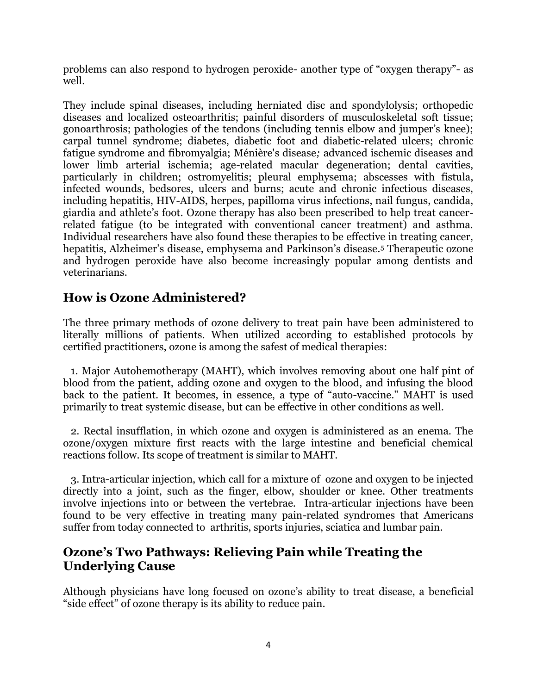problems can also respond to hydrogen peroxide- another type of "oxygen therapy"- as well.

They include spinal diseases, including herniated disc and spondylolysis; orthopedic diseases and localized osteoarthritis; painful disorders of musculoskeletal soft tissue; gonoarthrosis; pathologies of the tendons (including tennis elbow and jumper's knee); carpal tunnel syndrome; diabetes, diabetic foot and diabetic-related ulcers; chronic fatigue syndrome and fibromyalgia; Ménière's disease*;* advanced ischemic diseases and lower limb arterial ischemia; age-related macular degeneration; dental cavities, particularly in children; ostromyelitis; pleural emphysema; abscesses with fistula, infected wounds, bedsores, ulcers and burns; acute and chronic infectious diseases, including hepatitis, HIV-AIDS, herpes, papilloma virus infections, nail fungus, candida, giardia and athlete's foot. Ozone therapy has also been prescribed to help treat cancerrelated fatigue (to be integrated with conventional cancer treatment) and asthma. Individual researchers have also found these therapies to be effective in treating cancer, hepatitis, Alzheimer's disease, emphysema and Parkinson's disease.<sup>5</sup> Therapeutic ozone and hydrogen peroxide have also become increasingly popular among dentists and veterinarians.

# **How is Ozone Administered?**

The three primary methods of ozone delivery to treat pain have been administered to literally millions of patients. When utilized according to established protocols by certified practitioners, ozone is among the safest of medical therapies:

 1. Major Autohemotherapy (MAHT), which involves removing about one half pint of blood from the patient, adding ozone and oxygen to the blood, and infusing the blood back to the patient. It becomes, in essence, a type of "auto-vaccine." MAHT is used primarily to treat systemic disease, but can be effective in other conditions as well.

 2. Rectal insufflation, in which ozone and oxygen is administered as an enema. The ozone/oxygen mixture first reacts with the large intestine and beneficial chemical reactions follow. Its scope of treatment is similar to MAHT.

 3. Intra-articular injection, which call for a mixture of ozone and oxygen to be injected directly into a joint, such as the finger, elbow, shoulder or knee. Other treatments involve injections into or between the vertebrae. Intra-articular injections have been found to be very effective in treating many pain-related syndromes that Americans suffer from today connected to arthritis, sports injuries, sciatica and lumbar pain.

#### **Ozone's Two Pathways: Relieving Pain while Treating the Underlying Cause**

Although physicians have long focused on ozone's ability to treat disease, a beneficial "side effect" of ozone therapy is its ability to reduce pain.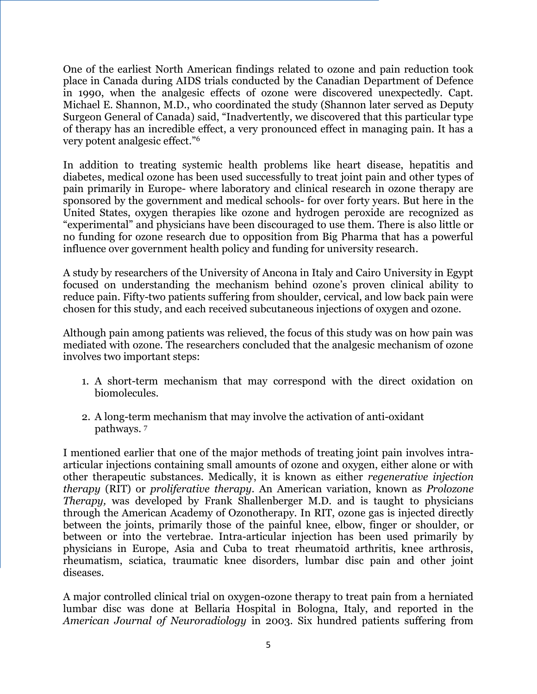One of the earliest North American findings related to ozone and pain reduction took place in Canada during AIDS trials conducted by the Canadian Department of Defence in 1990, when the analgesic effects of ozone were discovered unexpectedly. Capt. Michael E. Shannon, M.D., who coordinated the study (Shannon later served as Deputy Surgeon General of Canada) said, "Inadvertently, we discovered that this particular type of therapy has an incredible effect, a very pronounced effect in managing pain. It has a very potent analgesic effect."<sup>6</sup>

In addition to treating systemic health problems like heart disease, hepatitis and diabetes, medical ozone has been used successfully to treat joint pain and other types of pain primarily in Europe- where laboratory and clinical research in ozone therapy are sponsored by the government and medical schools- for over forty years. But here in the United States, oxygen therapies like ozone and hydrogen peroxide are recognized as ―experimental‖ and physicians have been discouraged to use them. There is also little or no funding for ozone research due to opposition from Big Pharma that has a powerful influence over government health policy and funding for university research.

A study by researchers of the University of Ancona in Italy and Cairo University in Egypt focused on understanding the mechanism behind ozone's proven clinical ability to reduce pain. Fifty-two patients suffering from shoulder, cervical, and low back pain were chosen for this study, and each received subcutaneous injections of oxygen and ozone.

Although pain among patients was relieved, the focus of this study was on how pain was mediated with ozone. The researchers concluded that the analgesic mechanism of ozone involves two important steps:

- 1. A short-term mechanism that may correspond with the direct oxidation on biomolecules.
- 2. A long-term mechanism that may involve the activation of anti-oxidant pathways. 7

I mentioned earlier that one of the major methods of treating joint pain involves intraarticular injections containing small amounts of ozone and oxygen, either alone or with other therapeutic substances. Medically, it is known as either *regenerative injection therapy* (RIT) or *proliferative therapy*. An American variation, known as *Prolozone Therapy,* was developed by Frank Shallenberger M.D. and is taught to physicians through the American Academy of Ozonotherapy. In RIT, ozone gas is injected directly between the joints, primarily those of the painful knee, elbow, finger or shoulder, or between or into the vertebrae. Intra-articular injection has been used primarily by physicians in Europe, Asia and Cuba to treat rheumatoid arthritis, knee arthrosis, rheumatism, sciatica, traumatic knee disorders, lumbar disc pain and other joint diseases.

A major controlled clinical trial on oxygen-ozone therapy to treat pain from a herniated lumbar disc was done at Bellaria Hospital in Bologna, Italy, and reported in the *American Journal of Neuroradiology* in 2003. Six hundred patients suffering from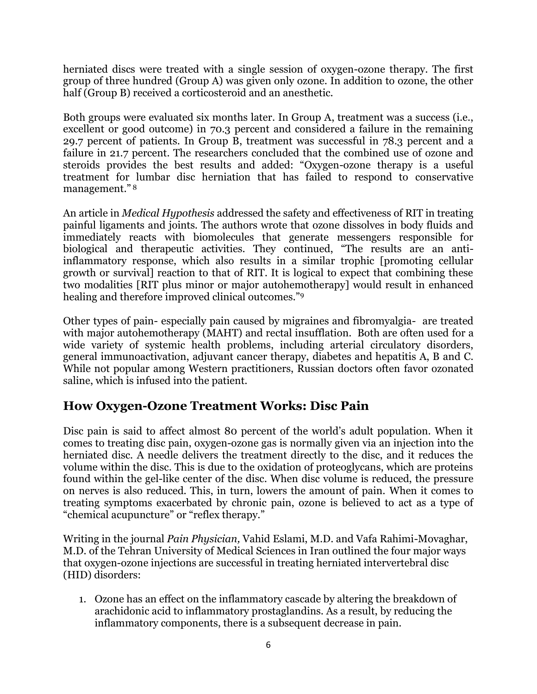herniated discs were treated with a single session of oxygen-ozone therapy. The first group of three hundred (Group A) was given only ozone. In addition to ozone, the other half (Group B) received a corticosteroid and an anesthetic.

Both groups were evaluated six months later. In Group A, treatment was a success (i.e., excellent or good outcome) in 70.3 percent and considered a failure in the remaining 29.7 percent of patients. In Group B, treatment was successful in 78.3 percent and a failure in 21.7 percent. The researchers concluded that the combined use of ozone and steroids provides the best results and added: "Oxygen-ozone therapy is a useful treatment for lumbar disc herniation that has failed to respond to conservative management."<sup>8</sup>

An article in *Medical Hypothesis* addressed the safety and effectiveness of RIT in treating painful ligaments and joints. The authors wrote that ozone dissolves in body fluids and immediately reacts with biomolecules that generate messengers responsible for biological and therapeutic activities. They continued, "The results are an antiinflammatory response, which also results in a similar trophic [promoting cellular growth or survival] reaction to that of RIT. It is logical to expect that combining these two modalities [RIT plus minor or major autohemotherapy] would result in enhanced healing and therefore improved clinical outcomes."<sup>9</sup>

Other types of pain- especially pain caused by migraines and fibromyalgia- are treated with major autohemotherapy (MAHT) and rectal insufflation. Both are often used for a wide variety of systemic health problems, including arterial circulatory disorders, general immunoactivation, adjuvant cancer therapy, diabetes and hepatitis A, B and C. While not popular among Western practitioners, Russian doctors often favor ozonated saline, which is infused into the patient.

### **How Oxygen-Ozone Treatment Works: Disc Pain**

Disc pain is said to affect almost 80 percent of the world's adult population. When it comes to treating disc pain, oxygen-ozone gas is normally given via an injection into the herniated disc. A needle delivers the treatment directly to the disc, and it reduces the volume within the disc. This is due to the oxidation of proteoglycans, which are proteins found within the gel-like center of the disc. When disc volume is reduced, the pressure on nerves is also reduced. This, in turn, lowers the amount of pain. When it comes to treating symptoms exacerbated by chronic pain, ozone is believed to act as a type of "chemical acupuncture" or "reflex therapy."

Writing in the journal *Pain Physician,* Vahid Eslami, M.D. and Vafa Rahimi-Movaghar, M.D. of the Tehran University of Medical Sciences in Iran outlined the four major ways that oxygen-ozone injections are successful in treating herniated intervertebral disc (HID) disorders:

1. Ozone has an effect on the inflammatory cascade by altering the breakdown of arachidonic acid to inflammatory prostaglandins. As a result, by reducing the inflammatory components, there is a subsequent decrease in pain.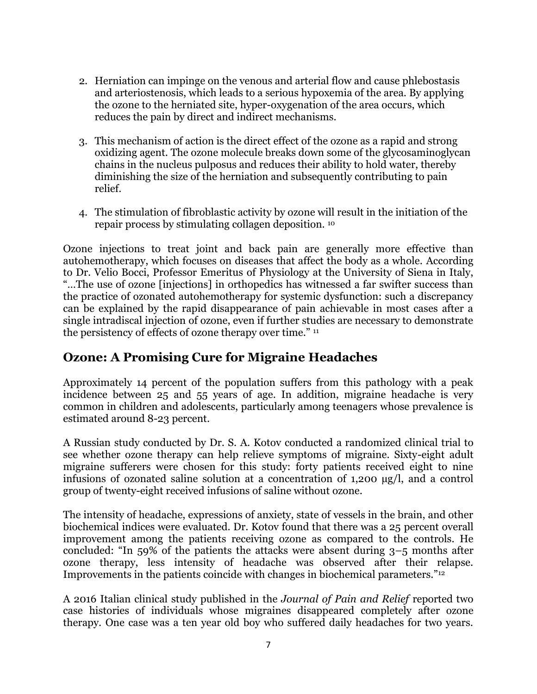- 2. Herniation can impinge on the venous and arterial flow and cause phlebostasis and arteriostenosis, which leads to a serious hypoxemia of the area. By applying the ozone to the herniated site, hyper-oxygenation of the area occurs, which reduces the pain by direct and indirect mechanisms.
- 3. This mechanism of action is the direct effect of the ozone as a rapid and strong oxidizing agent. The ozone molecule breaks down some of the glycosaminoglycan chains in the nucleus pulposus and reduces their ability to hold water, thereby diminishing the size of the herniation and subsequently contributing to pain relief.
- 4. The stimulation of fibroblastic activity by ozone will result in the initiation of the repair process by stimulating collagen deposition. <sup>10</sup>

Ozone injections to treat joint and back pain are generally more effective than autohemotherapy, which focuses on diseases that affect the body as a whole. According to Dr. Velio Bocci, Professor Emeritus of Physiology at the University of Siena in Italy, ―…The use of ozone [injections] in orthopedics has witnessed a far swifter success than the practice of ozonated autohemotherapy for systemic dysfunction: such a discrepancy can be explained by the rapid disappearance of pain achievable in most cases after a single intradiscal injection of ozone, even if further studies are necessary to demonstrate the persistency of effects of ozone therapy over time." 11

### **Ozone: A Promising Cure for Migraine Headaches**

Approximately 14 percent of the population suffers from this pathology with a peak incidence between 25 and 55 years of age. In addition, migraine headache is very common in children and adolescents, particularly among teenagers whose prevalence is estimated around 8-23 percent.

A Russian study conducted by Dr. S. A. Kotov conducted a randomized clinical trial to see whether ozone therapy can help relieve symptoms of migraine. Sixty-eight adult migraine sufferers were chosen for this study: forty patients received eight to nine infusions of ozonated saline solution at a concentration of 1,200 µg/l, and a control group of twenty-eight received infusions of saline without ozone.

The intensity of headache, expressions of anxiety, state of vessels in the brain, and other biochemical indices were evaluated. Dr. Kotov found that there was a 25 percent overall improvement among the patients receiving ozone as compared to the controls. He concluded: "In 59% of the patients the attacks were absent during  $3-5$  months after ozone therapy, less intensity of headache was observed after their relapse. Improvements in the patients coincide with changes in biochemical parameters."<sup>12</sup>

A 2016 Italian clinical study published in the *Journal of Pain and Relief* reported two case histories of individuals whose migraines disappeared completely after ozone therapy. One case was a ten year old boy who suffered daily headaches for two years.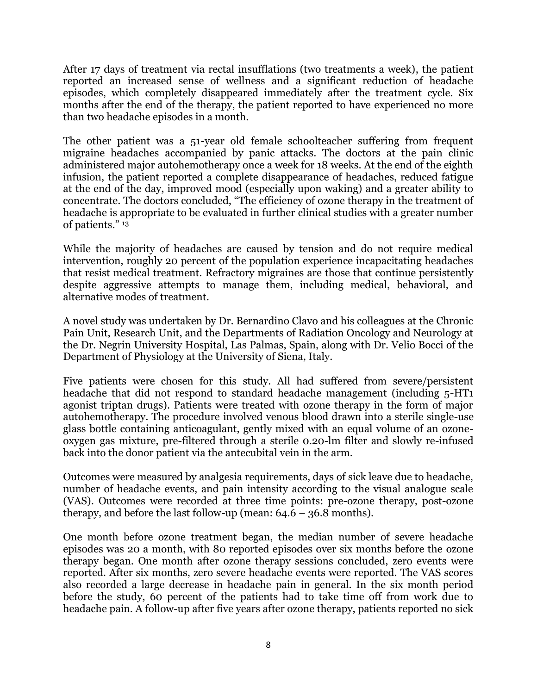After 17 days of treatment via rectal insufflations (two treatments a week), the patient reported an increased sense of wellness and a significant reduction of headache episodes, which completely disappeared immediately after the treatment cycle. Six months after the end of the therapy, the patient reported to have experienced no more than two headache episodes in a month.

The other patient was a 51-year old female schoolteacher suffering from frequent migraine headaches accompanied by panic attacks. The doctors at the pain clinic administered major autohemotherapy once a week for 18 weeks. At the end of the eighth infusion, the patient reported a complete disappearance of headaches, reduced fatigue at the end of the day, improved mood (especially upon waking) and a greater ability to concentrate. The doctors concluded, "The efficiency of ozone therapy in the treatment of headache is appropriate to be evaluated in further clinical studies with a greater number of patients." 13

While the majority of headaches are caused by tension and do not require medical intervention, roughly 20 percent of the population experience incapacitating headaches that resist medical treatment. Refractory migraines are those that continue persistently despite aggressive attempts to manage them, including medical, behavioral, and alternative modes of treatment.

A novel study was undertaken by Dr. Bernardino Clavo and his colleagues at the Chronic Pain Unit, Research Unit, and the Departments of Radiation Oncology and Neurology at the Dr. Negrin University Hospital, Las Palmas, Spain, along with Dr. Velio Bocci of the Department of Physiology at the University of Siena, Italy.

Five patients were chosen for this study. All had suffered from severe/persistent headache that did not respond to standard headache management (including 5-HT1 agonist triptan drugs). Patients were treated with ozone therapy in the form of major autohemotherapy. The procedure involved venous blood drawn into a sterile single-use glass bottle containing anticoagulant, gently mixed with an equal volume of an ozoneoxygen gas mixture, pre-filtered through a sterile 0.20-lm filter and slowly re-infused back into the donor patient via the antecubital vein in the arm.

Outcomes were measured by analgesia requirements, days of sick leave due to headache, number of headache events, and pain intensity according to the visual analogue scale (VAS). Outcomes were recorded at three time points: pre-ozone therapy, post-ozone therapy, and before the last follow-up (mean:  $64.6 - 36.8$  months).

One month before ozone treatment began, the median number of severe headache episodes was 20 a month, with 80 reported episodes over six months before the ozone therapy began. One month after ozone therapy sessions concluded, zero events were reported. After six months, zero severe headache events were reported. The VAS scores also recorded a large decrease in headache pain in general. In the six month period before the study, 60 percent of the patients had to take time off from work due to headache pain. A follow-up after five years after ozone therapy, patients reported no sick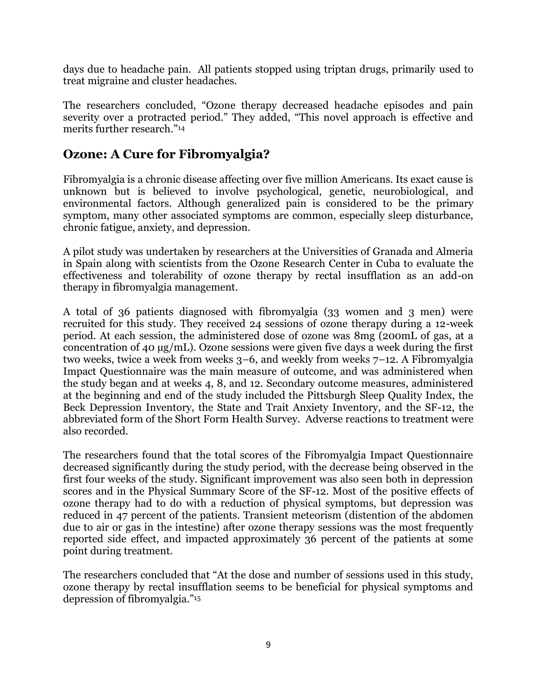days due to headache pain. All patients stopped using triptan drugs, primarily used to treat migraine and cluster headaches.

The researchers concluded, "Ozone therapy decreased headache episodes and pain severity over a protracted period." They added, "This novel approach is effective and merits further research."<sup>14</sup>

## **Ozone: A Cure for Fibromyalgia?**

Fibromyalgia is a chronic disease affecting over five million Americans. Its exact cause is unknown but is believed to involve psychological, genetic, neurobiological, and environmental factors. Although generalized pain is considered to be the primary symptom, many other associated symptoms are common, especially sleep disturbance, chronic fatigue, anxiety, and depression.

A pilot study was undertaken by researchers at the Universities of Granada and Almeria in Spain along with scientists from the Ozone Research Center in Cuba to evaluate the effectiveness and tolerability of ozone therapy by rectal insufflation as an add-on therapy in fibromyalgia management.

A total of 36 patients diagnosed with fibromyalgia (33 women and 3 men) were recruited for this study. They received 24 sessions of ozone therapy during a 12-week period. At each session, the administered dose of ozone was 8mg (200mL of gas, at a concentration of 40 µg/mL). Ozone sessions were given five days a week during the first two weeks, twice a week from weeks 3–6, and weekly from weeks 7–12. A Fibromyalgia Impact Questionnaire was the main measure of outcome, and was administered when the study began and at weeks 4, 8, and 12. Secondary outcome measures, administered at the beginning and end of the study included the Pittsburgh Sleep Quality Index, the Beck Depression Inventory, the State and Trait Anxiety Inventory, and the SF-12, the abbreviated form of the Short Form Health Survey. Adverse reactions to treatment were also recorded.

The researchers found that the total scores of the Fibromyalgia Impact Questionnaire decreased significantly during the study period, with the decrease being observed in the first four weeks of the study. Significant improvement was also seen both in depression scores and in the Physical Summary Score of the SF-12. Most of the positive effects of ozone therapy had to do with a reduction of physical symptoms, but depression was reduced in 47 percent of the patients. Transient meteorism (distention of the abdomen due to air or gas in the intestine) after ozone therapy sessions was the most frequently reported side effect, and impacted approximately 36 percent of the patients at some point during treatment.

The researchers concluded that "At the dose and number of sessions used in this study, ozone therapy by rectal insufflation seems to be beneficial for physical symptoms and depression of fibromyalgia."<sup>15</sup>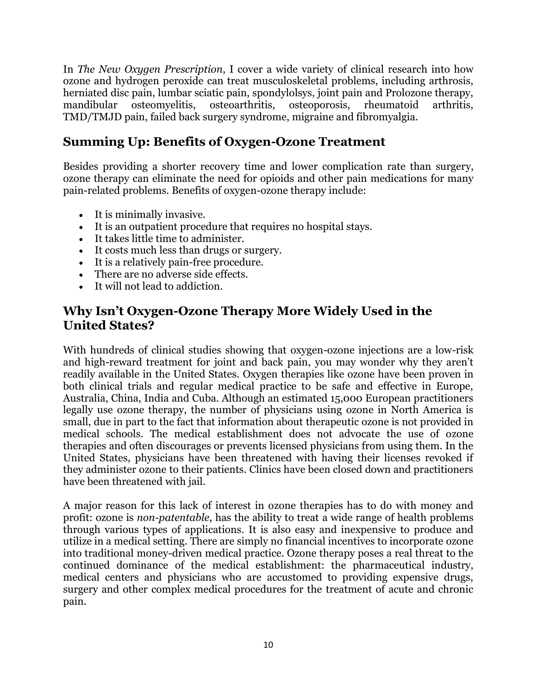In *The New Oxygen Prescription*, I cover a wide variety of clinical research into how ozone and hydrogen peroxide can treat musculoskeletal problems, including arthrosis, herniated disc pain, lumbar sciatic pain, spondylolsys, joint pain and Prolozone therapy, mandibular osteomyelitis, osteoarthritis, osteoporosis, rheumatoid arthritis, TMD/TMJD pain, failed back surgery syndrome, migraine and fibromyalgia.

# **Summing Up: Benefits of Oxygen-Ozone Treatment**

Besides providing a shorter recovery time and lower complication rate than surgery, ozone therapy can eliminate the need for opioids and other pain medications for many pain-related problems. Benefits of oxygen-ozone therapy include:

- It is minimally invasive.
- It is an outpatient procedure that requires no hospital stays.
- It takes little time to administer.
- It costs much less than drugs or surgery.
- It is a relatively pain-free procedure.
- There are no adverse side effects.
- It will not lead to addiction.

#### **Why Isn't Oxygen-Ozone Therapy More Widely Used in the United States?**

With hundreds of clinical studies showing that oxygen-ozone injections are a low-risk and high-reward treatment for joint and back pain, you may wonder why they aren't readily available in the United States. Oxygen therapies like ozone have been proven in both clinical trials and regular medical practice to be safe and effective in Europe, Australia, China, India and Cuba. Although an estimated 15,000 European practitioners legally use ozone therapy, the number of physicians using ozone in North America is small, due in part to the fact that information about therapeutic ozone is not provided in medical schools. The medical establishment does not advocate the use of ozone therapies and often discourages or prevents licensed physicians from using them. In the United States, physicians have been threatened with having their licenses revoked if they administer ozone to their patients. Clinics have been closed down and practitioners have been threatened with jail.

A major reason for this lack of interest in ozone therapies has to do with money and profit: ozone is *non-patentable*, has the ability to treat a wide range of health problems through various types of applications. It is also easy and inexpensive to produce and utilize in a medical setting. There are simply no financial incentives to incorporate ozone into traditional money-driven medical practice. Ozone therapy poses a real threat to the continued dominance of the medical establishment: the pharmaceutical industry, medical centers and physicians who are accustomed to providing expensive drugs, surgery and other complex medical procedures for the treatment of acute and chronic pain.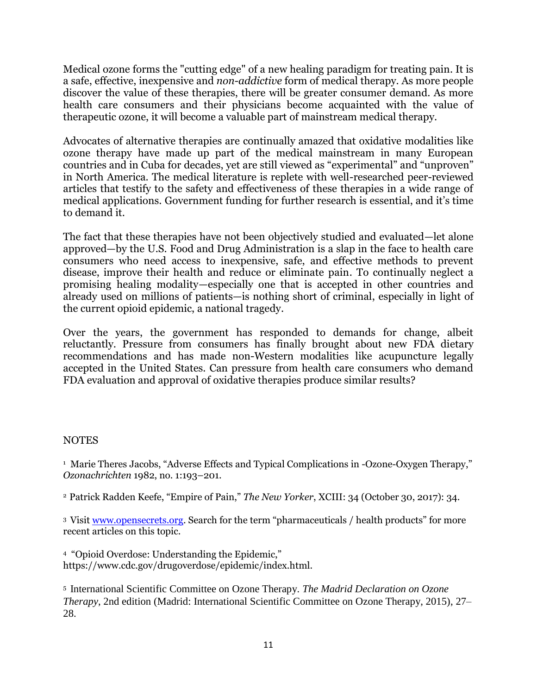Medical ozone forms the "cutting edge" of a new healing paradigm for treating pain. It is a safe, effective, inexpensive and *non-addictive* form of medical therapy. As more people discover the value of these therapies, there will be greater consumer demand. As more health care consumers and their physicians become acquainted with the value of therapeutic ozone, it will become a valuable part of mainstream medical therapy.

Advocates of alternative therapies are continually amazed that oxidative modalities like ozone therapy have made up part of the medical mainstream in many European countries and in Cuba for decades, yet are still viewed as "experimental" and "unproven" in North America. The medical literature is replete with well-researched peer-reviewed articles that testify to the safety and effectiveness of these therapies in a wide range of medical applications. Government funding for further research is essential, and it's time to demand it.

The fact that these therapies have not been objectively studied and evaluated—let alone approved—by the U.S. Food and Drug Administration is a slap in the face to health care consumers who need access to inexpensive, safe, and effective methods to prevent disease, improve their health and reduce or eliminate pain. To continually neglect a promising healing modality—especially one that is accepted in other countries and already used on millions of patients—is nothing short of criminal, especially in light of the current opioid epidemic, a national tragedy.

Over the years, the government has responded to demands for change, albeit reluctantly. Pressure from consumers has finally brought about new FDA dietary recommendations and has made non-Western modalities like acupuncture legally accepted in the United States. Can pressure from health care consumers who demand FDA evaluation and approval of oxidative therapies produce similar results?

#### NOTES

<sup>1</sup> Marie Theres Jacobs, "Adverse Effects and Typical Complications in -Ozone-Oxygen Therapy," *Ozonachrichten* 1982, no. 1:193–201.

<sup>2</sup> Patrick Radden Keefe, "Empire of Pain," *The New Yorker*, XCIII: 34 (October 30, 2017): 34.

<sup>3</sup> Visit [www.opensecrets.org](http://www.opensecrets.org/). Search for the term "pharmaceuticals / health products" for more recent articles on this topic.

<sup>4</sup> "Opioid Overdose: Understanding the Epidemic," https://www.cdc.gov/drugoverdose/epidemic/index.html.

5 International Scientific Committee on Ozone Therapy. *The Madrid Declaration on Ozone Therapy*, 2nd edition (Madrid: International Scientific Committee on Ozone Therapy, 2015), 27– 28.